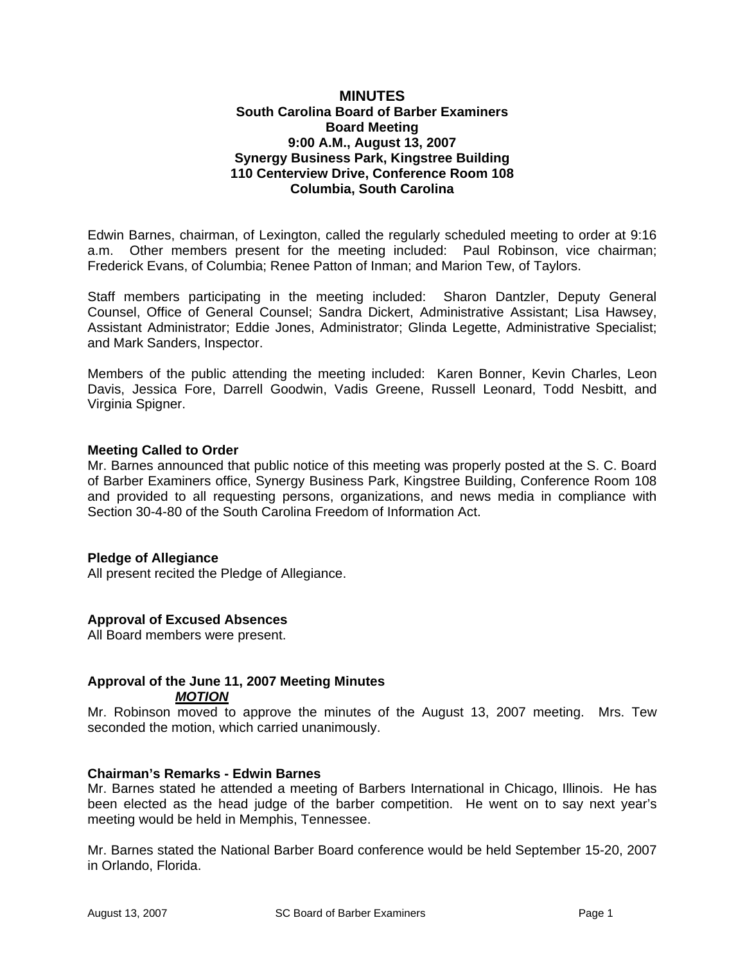## **MINUTES South Carolina Board of Barber Examiners Board Meeting 9:00 A.M., August 13, 2007 Synergy Business Park, Kingstree Building 110 Centerview Drive, Conference Room 108 Columbia, South Carolina**

Edwin Barnes, chairman, of Lexington, called the regularly scheduled meeting to order at 9:16 a.m. Other members present for the meeting included: Paul Robinson, vice chairman; Frederick Evans, of Columbia; Renee Patton of Inman; and Marion Tew, of Taylors.

Staff members participating in the meeting included: Sharon Dantzler, Deputy General Counsel, Office of General Counsel; Sandra Dickert, Administrative Assistant; Lisa Hawsey, Assistant Administrator; Eddie Jones, Administrator; Glinda Legette, Administrative Specialist; and Mark Sanders, Inspector.

Members of the public attending the meeting included: Karen Bonner, Kevin Charles, Leon Davis, Jessica Fore, Darrell Goodwin, Vadis Greene, Russell Leonard, Todd Nesbitt, and Virginia Spigner.

## **Meeting Called to Order**

Mr. Barnes announced that public notice of this meeting was properly posted at the S. C. Board of Barber Examiners office, Synergy Business Park, Kingstree Building, Conference Room 108 and provided to all requesting persons, organizations, and news media in compliance with Section 30-4-80 of the South Carolina Freedom of Information Act.

## **Pledge of Allegiance**

All present recited the Pledge of Allegiance.

## **Approval of Excused Absences**

All Board members were present.

## **Approval of the June 11, 2007 Meeting Minutes** *MOTION*

Mr. Robinson moved to approve the minutes of the August 13, 2007 meeting. Mrs. Tew seconded the motion, which carried unanimously.

## **Chairman's Remarks - Edwin Barnes**

Mr. Barnes stated he attended a meeting of Barbers International in Chicago, Illinois. He has been elected as the head judge of the barber competition. He went on to say next year's meeting would be held in Memphis, Tennessee.

Mr. Barnes stated the National Barber Board conference would be held September 15-20, 2007 in Orlando, Florida.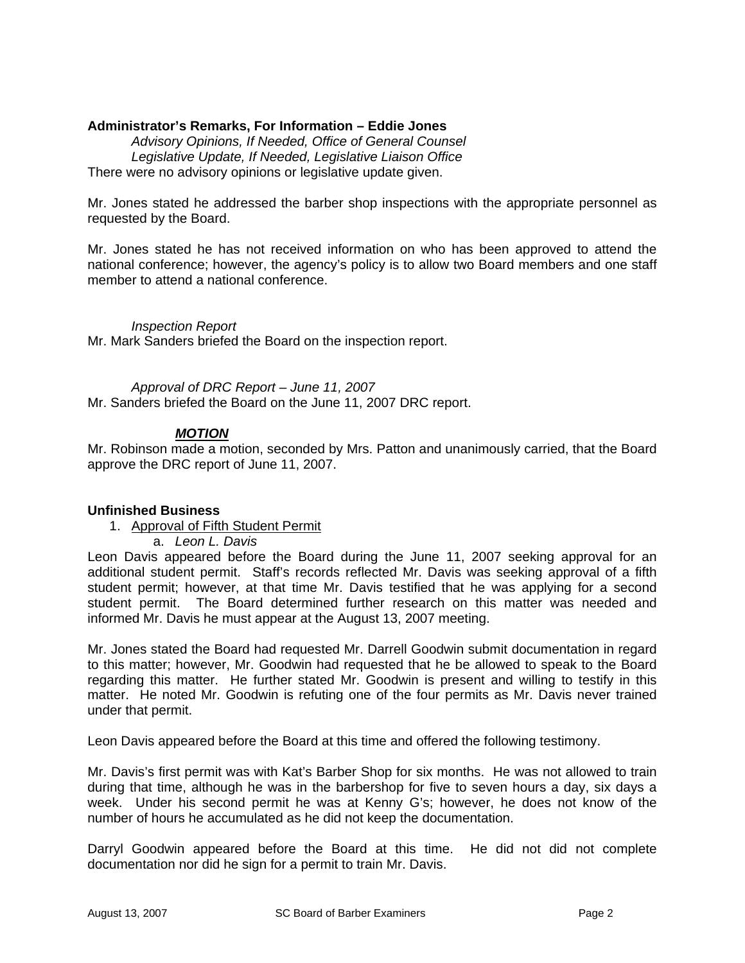## **Administrator's Remarks, For Information – Eddie Jones**

*Advisory Opinions, If Needed, Office of General Counsel Legislative Update, If Needed, Legislative Liaison Office*  There were no advisory opinions or legislative update given.

Mr. Jones stated he addressed the barber shop inspections with the appropriate personnel as requested by the Board.

Mr. Jones stated he has not received information on who has been approved to attend the national conference; however, the agency's policy is to allow two Board members and one staff member to attend a national conference.

*Inspection Report* Mr. Mark Sanders briefed the Board on the inspection report.

 *Approval of DRC Report – June 11, 2007*  Mr. Sanders briefed the Board on the June 11, 2007 DRC report.

## *MOTION*

Mr. Robinson made a motion, seconded by Mrs. Patton and unanimously carried, that the Board approve the DRC report of June 11, 2007.

## **Unfinished Business**

- 1. Approval of Fifth Student Permit
	- a. *Leon L. Davis*

Leon Davis appeared before the Board during the June 11, 2007 seeking approval for an additional student permit. Staff's records reflected Mr. Davis was seeking approval of a fifth student permit; however, at that time Mr. Davis testified that he was applying for a second student permit. The Board determined further research on this matter was needed and informed Mr. Davis he must appear at the August 13, 2007 meeting.

Mr. Jones stated the Board had requested Mr. Darrell Goodwin submit documentation in regard to this matter; however, Mr. Goodwin had requested that he be allowed to speak to the Board regarding this matter. He further stated Mr. Goodwin is present and willing to testify in this matter. He noted Mr. Goodwin is refuting one of the four permits as Mr. Davis never trained under that permit.

Leon Davis appeared before the Board at this time and offered the following testimony.

Mr. Davis's first permit was with Kat's Barber Shop for six months. He was not allowed to train during that time, although he was in the barbershop for five to seven hours a day, six days a week. Under his second permit he was at Kenny G's; however, he does not know of the number of hours he accumulated as he did not keep the documentation.

Darryl Goodwin appeared before the Board at this time. He did not did not complete documentation nor did he sign for a permit to train Mr. Davis.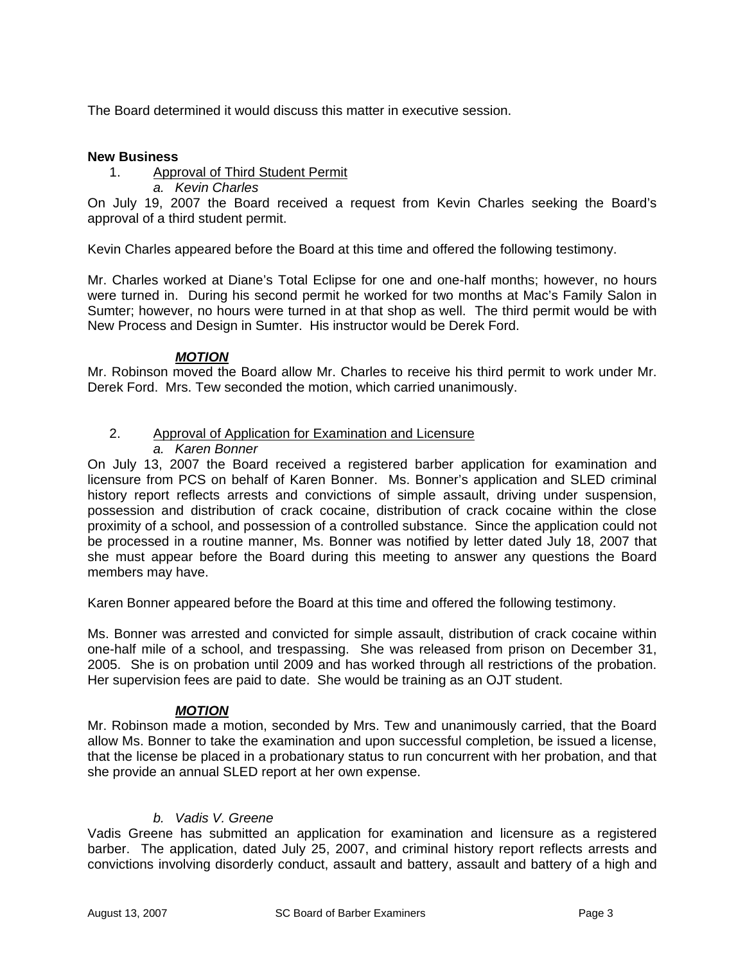The Board determined it would discuss this matter in executive session.

## **New Business**

## 1. Approval of Third Student Permit

*a. Kevin Charles* 

On July 19, 2007 the Board received a request from Kevin Charles seeking the Board's approval of a third student permit.

Kevin Charles appeared before the Board at this time and offered the following testimony.

Mr. Charles worked at Diane's Total Eclipse for one and one-half months; however, no hours were turned in. During his second permit he worked for two months at Mac's Family Salon in Sumter; however, no hours were turned in at that shop as well. The third permit would be with New Process and Design in Sumter. His instructor would be Derek Ford.

## *MOTION*

Mr. Robinson moved the Board allow Mr. Charles to receive his third permit to work under Mr. Derek Ford. Mrs. Tew seconded the motion, which carried unanimously.

## 2. Approval of Application for Examination and Licensure

*a. Karen Bonner* 

On July 13, 2007 the Board received a registered barber application for examination and licensure from PCS on behalf of Karen Bonner. Ms. Bonner's application and SLED criminal history report reflects arrests and convictions of simple assault, driving under suspension, possession and distribution of crack cocaine, distribution of crack cocaine within the close proximity of a school, and possession of a controlled substance. Since the application could not be processed in a routine manner, Ms. Bonner was notified by letter dated July 18, 2007 that she must appear before the Board during this meeting to answer any questions the Board members may have.

Karen Bonner appeared before the Board at this time and offered the following testimony.

Ms. Bonner was arrested and convicted for simple assault, distribution of crack cocaine within one-half mile of a school, and trespassing. She was released from prison on December 31, 2005. She is on probation until 2009 and has worked through all restrictions of the probation. Her supervision fees are paid to date. She would be training as an OJT student.

## *MOTION*

Mr. Robinson made a motion, seconded by Mrs. Tew and unanimously carried, that the Board allow Ms. Bonner to take the examination and upon successful completion, be issued a license, that the license be placed in a probationary status to run concurrent with her probation, and that she provide an annual SLED report at her own expense.

# *b. Vadis V. Greene*

Vadis Greene has submitted an application for examination and licensure as a registered barber. The application, dated July 25, 2007, and criminal history report reflects arrests and convictions involving disorderly conduct, assault and battery, assault and battery of a high and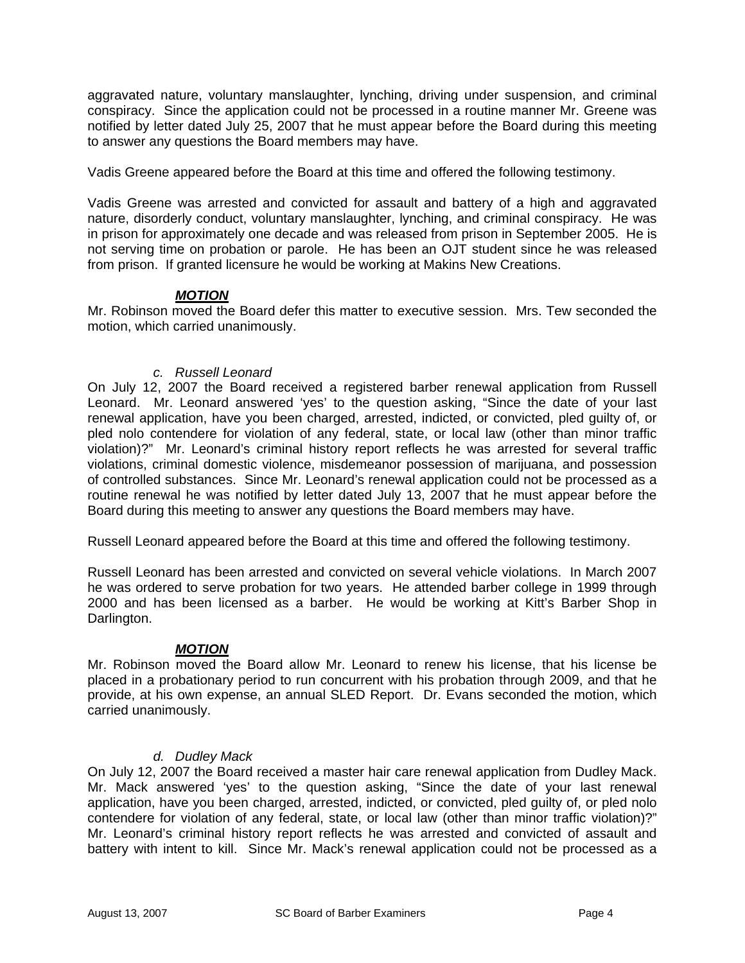aggravated nature, voluntary manslaughter, lynching, driving under suspension, and criminal conspiracy. Since the application could not be processed in a routine manner Mr. Greene was notified by letter dated July 25, 2007 that he must appear before the Board during this meeting to answer any questions the Board members may have.

Vadis Greene appeared before the Board at this time and offered the following testimony.

Vadis Greene was arrested and convicted for assault and battery of a high and aggravated nature, disorderly conduct, voluntary manslaughter, lynching, and criminal conspiracy. He was in prison for approximately one decade and was released from prison in September 2005. He is not serving time on probation or parole. He has been an OJT student since he was released from prison. If granted licensure he would be working at Makins New Creations.

# *MOTION*

Mr. Robinson moved the Board defer this matter to executive session. Mrs. Tew seconded the motion, which carried unanimously.

## *c. Russell Leonard*

On July 12, 2007 the Board received a registered barber renewal application from Russell Leonard. Mr. Leonard answered 'yes' to the question asking, "Since the date of your last renewal application, have you been charged, arrested, indicted, or convicted, pled guilty of, or pled nolo contendere for violation of any federal, state, or local law (other than minor traffic violation)?" Mr. Leonard's criminal history report reflects he was arrested for several traffic violations, criminal domestic violence, misdemeanor possession of marijuana, and possession of controlled substances. Since Mr. Leonard's renewal application could not be processed as a routine renewal he was notified by letter dated July 13, 2007 that he must appear before the Board during this meeting to answer any questions the Board members may have.

Russell Leonard appeared before the Board at this time and offered the following testimony.

Russell Leonard has been arrested and convicted on several vehicle violations. In March 2007 he was ordered to serve probation for two years. He attended barber college in 1999 through 2000 and has been licensed as a barber. He would be working at Kitt's Barber Shop in Darlington.

## *MOTION*

Mr. Robinson moved the Board allow Mr. Leonard to renew his license, that his license be placed in a probationary period to run concurrent with his probation through 2009, and that he provide, at his own expense, an annual SLED Report. Dr. Evans seconded the motion, which carried unanimously.

# *d. Dudley Mack*

On July 12, 2007 the Board received a master hair care renewal application from Dudley Mack. Mr. Mack answered 'yes' to the question asking, "Since the date of your last renewal application, have you been charged, arrested, indicted, or convicted, pled guilty of, or pled nolo contendere for violation of any federal, state, or local law (other than minor traffic violation)?" Mr. Leonard's criminal history report reflects he was arrested and convicted of assault and battery with intent to kill. Since Mr. Mack's renewal application could not be processed as a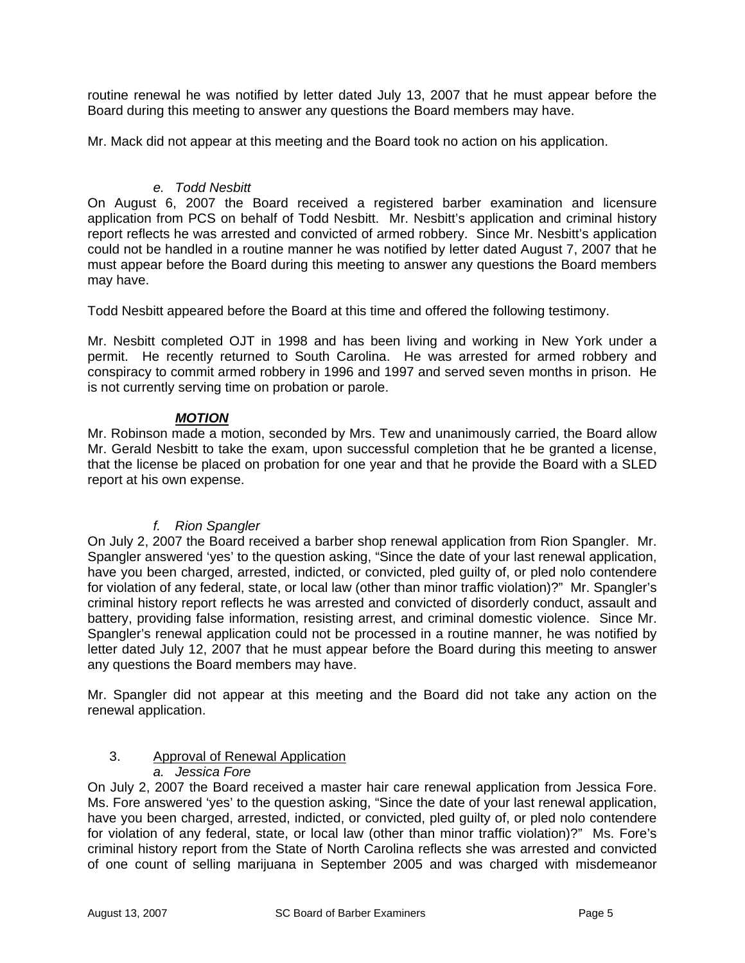routine renewal he was notified by letter dated July 13, 2007 that he must appear before the Board during this meeting to answer any questions the Board members may have.

Mr. Mack did not appear at this meeting and the Board took no action on his application.

### *e. Todd Nesbitt*

On August 6, 2007 the Board received a registered barber examination and licensure application from PCS on behalf of Todd Nesbitt. Mr. Nesbitt's application and criminal history report reflects he was arrested and convicted of armed robbery. Since Mr. Nesbitt's application could not be handled in a routine manner he was notified by letter dated August 7, 2007 that he must appear before the Board during this meeting to answer any questions the Board members may have.

Todd Nesbitt appeared before the Board at this time and offered the following testimony.

Mr. Nesbitt completed OJT in 1998 and has been living and working in New York under a permit. He recently returned to South Carolina. He was arrested for armed robbery and conspiracy to commit armed robbery in 1996 and 1997 and served seven months in prison. He is not currently serving time on probation or parole.

### *MOTION*

Mr. Robinson made a motion, seconded by Mrs. Tew and unanimously carried, the Board allow Mr. Gerald Nesbitt to take the exam, upon successful completion that he be granted a license, that the license be placed on probation for one year and that he provide the Board with a SLED report at his own expense.

## *f. Rion Spangler*

On July 2, 2007 the Board received a barber shop renewal application from Rion Spangler. Mr. Spangler answered 'yes' to the question asking, "Since the date of your last renewal application, have you been charged, arrested, indicted, or convicted, pled guilty of, or pled nolo contendere for violation of any federal, state, or local law (other than minor traffic violation)?" Mr. Spangler's criminal history report reflects he was arrested and convicted of disorderly conduct, assault and battery, providing false information, resisting arrest, and criminal domestic violence. Since Mr. Spangler's renewal application could not be processed in a routine manner, he was notified by letter dated July 12, 2007 that he must appear before the Board during this meeting to answer any questions the Board members may have.

Mr. Spangler did not appear at this meeting and the Board did not take any action on the renewal application.

# 3. Approval of Renewal Application

## *a. Jessica Fore*

On July 2, 2007 the Board received a master hair care renewal application from Jessica Fore. Ms. Fore answered 'yes' to the question asking, "Since the date of your last renewal application, have you been charged, arrested, indicted, or convicted, pled guilty of, or pled nolo contendere for violation of any federal, state, or local law (other than minor traffic violation)?" Ms. Fore's criminal history report from the State of North Carolina reflects she was arrested and convicted of one count of selling marijuana in September 2005 and was charged with misdemeanor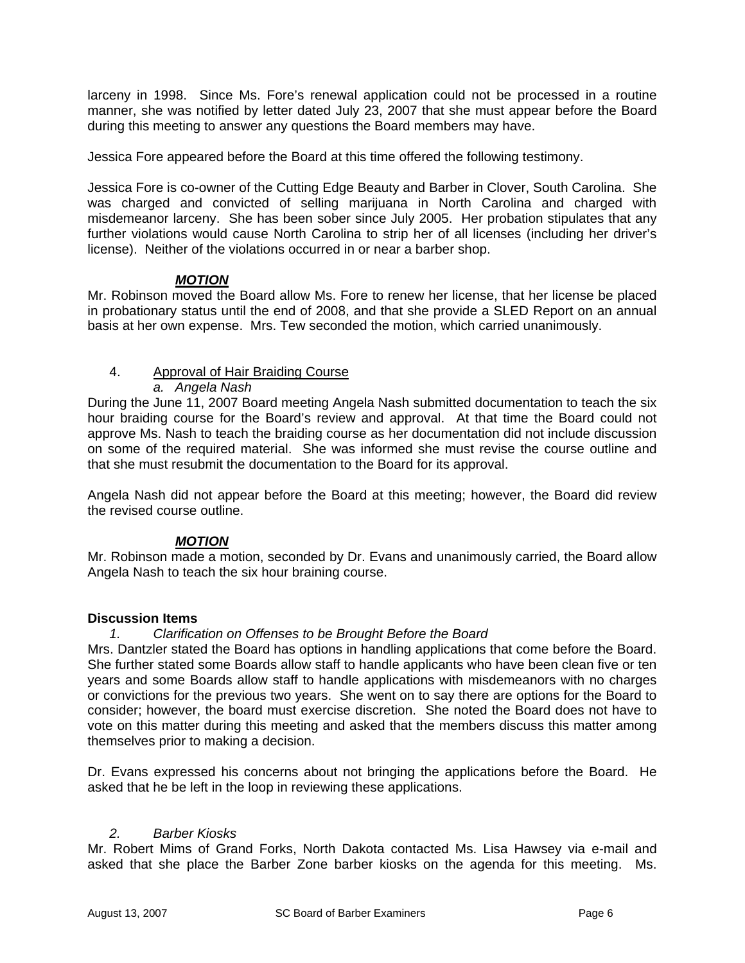larceny in 1998. Since Ms. Fore's renewal application could not be processed in a routine manner, she was notified by letter dated July 23, 2007 that she must appear before the Board during this meeting to answer any questions the Board members may have.

Jessica Fore appeared before the Board at this time offered the following testimony.

Jessica Fore is co-owner of the Cutting Edge Beauty and Barber in Clover, South Carolina. She was charged and convicted of selling marijuana in North Carolina and charged with misdemeanor larceny. She has been sober since July 2005. Her probation stipulates that any further violations would cause North Carolina to strip her of all licenses (including her driver's license). Neither of the violations occurred in or near a barber shop.

## *MOTION*

Mr. Robinson moved the Board allow Ms. Fore to renew her license, that her license be placed in probationary status until the end of 2008, and that she provide a SLED Report on an annual basis at her own expense. Mrs. Tew seconded the motion, which carried unanimously.

# 4. Approval of Hair Braiding Course

*a. Angela Nash* 

During the June 11, 2007 Board meeting Angela Nash submitted documentation to teach the six hour braiding course for the Board's review and approval. At that time the Board could not approve Ms. Nash to teach the braiding course as her documentation did not include discussion on some of the required material. She was informed she must revise the course outline and that she must resubmit the documentation to the Board for its approval.

Angela Nash did not appear before the Board at this meeting; however, the Board did review the revised course outline.

# *MOTION*

Mr. Robinson made a motion, seconded by Dr. Evans and unanimously carried, the Board allow Angela Nash to teach the six hour braining course.

## **Discussion Items**

## *1. Clarification on Offenses to be Brought Before the Board*

Mrs. Dantzler stated the Board has options in handling applications that come before the Board. She further stated some Boards allow staff to handle applicants who have been clean five or ten years and some Boards allow staff to handle applications with misdemeanors with no charges or convictions for the previous two years. She went on to say there are options for the Board to consider; however, the board must exercise discretion. She noted the Board does not have to vote on this matter during this meeting and asked that the members discuss this matter among themselves prior to making a decision.

Dr. Evans expressed his concerns about not bringing the applications before the Board. He asked that he be left in the loop in reviewing these applications.

## *2. Barber Kiosks*

Mr. Robert Mims of Grand Forks, North Dakota contacted Ms. Lisa Hawsey via e-mail and asked that she place the Barber Zone barber kiosks on the agenda for this meeting. Ms.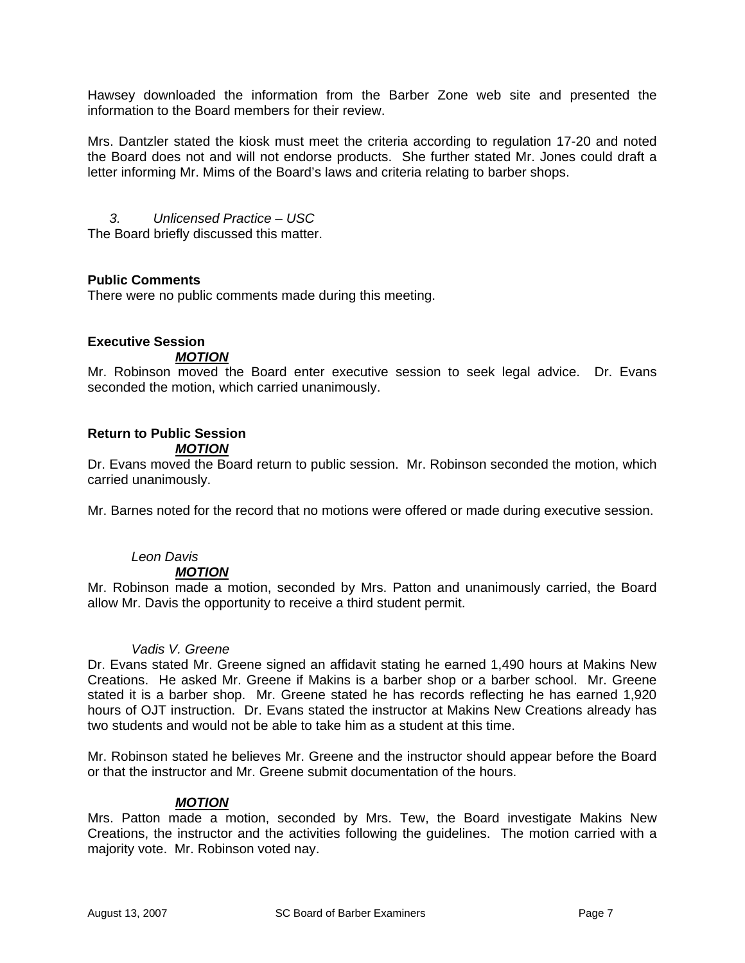Hawsey downloaded the information from the Barber Zone web site and presented the information to the Board members for their review.

Mrs. Dantzler stated the kiosk must meet the criteria according to regulation 17-20 and noted the Board does not and will not endorse products. She further stated Mr. Jones could draft a letter informing Mr. Mims of the Board's laws and criteria relating to barber shops.

*3. Unlicensed Practice – USC*  The Board briefly discussed this matter.

## **Public Comments**

There were no public comments made during this meeting.

## **Executive Session**

### *MOTION*

Mr. Robinson moved the Board enter executive session to seek legal advice. Dr. Evans seconded the motion, which carried unanimously.

## **Return to Public Session**

## *MOTION*

Dr. Evans moved the Board return to public session. Mr. Robinson seconded the motion, which carried unanimously.

Mr. Barnes noted for the record that no motions were offered or made during executive session.

## *Leon Davis*

### *MOTION*

Mr. Robinson made a motion, seconded by Mrs. Patton and unanimously carried, the Board allow Mr. Davis the opportunity to receive a third student permit.

### *Vadis V. Greene*

Dr. Evans stated Mr. Greene signed an affidavit stating he earned 1,490 hours at Makins New Creations. He asked Mr. Greene if Makins is a barber shop or a barber school. Mr. Greene stated it is a barber shop. Mr. Greene stated he has records reflecting he has earned 1,920 hours of OJT instruction. Dr. Evans stated the instructor at Makins New Creations already has two students and would not be able to take him as a student at this time.

Mr. Robinson stated he believes Mr. Greene and the instructor should appear before the Board or that the instructor and Mr. Greene submit documentation of the hours.

## *MOTION*

Mrs. Patton made a motion, seconded by Mrs. Tew, the Board investigate Makins New Creations, the instructor and the activities following the guidelines. The motion carried with a majority vote. Mr. Robinson voted nay.